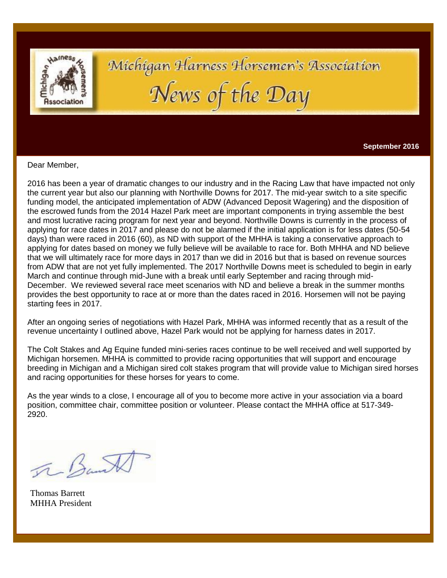

# Michigan Harness Horsemen's Association News of the Day

**September 2016**

Dear Member,

2016 has been a year of dramatic changes to our industry and in the Racing Law that have impacted not only the current year but also our planning with Northville Downs for 2017. The mid-year switch to a site specific funding model, the anticipated implementation of ADW (Advanced Deposit Wagering) and the disposition of the escrowed funds from the 2014 Hazel Park meet are important components in trying assemble the best and most lucrative racing program for next year and beyond. Northville Downs is currently in the process of applying for race dates in 2017 and please do not be alarmed if the initial application is for less dates (50-54 days) than were raced in 2016 (60), as ND with support of the MHHA is taking a conservative approach to applying for dates based on money we fully believe will be available to race for. Both MHHA and ND believe that we will ultimately race for more days in 2017 than we did in 2016 but that is based on revenue sources from ADW that are not yet fully implemented. The 2017 Northville Downs meet is scheduled to begin in early March and continue through mid-June with a break until early September and racing through mid-December. We reviewed several race meet scenarios with ND and believe a break in the summer months provides the best opportunity to race at or more than the dates raced in 2016. Horsemen will not be paying starting fees in 2017.

After an ongoing series of negotiations with Hazel Park, MHHA was informed recently that as a result of the revenue uncertainty I outlined above, Hazel Park would not be applying for harness dates in 2017.

The Colt Stakes and Ag Equine funded mini-series races continue to be well received and well supported by Michigan horsemen. MHHA is committed to provide racing opportunities that will support and encourage breeding in Michigan and a Michigan sired colt stakes program that will provide value to Michigan sired horses and racing opportunities for these horses for years to come.

As the year winds to a close, I encourage all of you to become more active in your association via a board position, committee chair, committee position or volunteer. Please contact the MHHA office at 517-349- 2920.

The Bank

Thomas Barrett MHHA President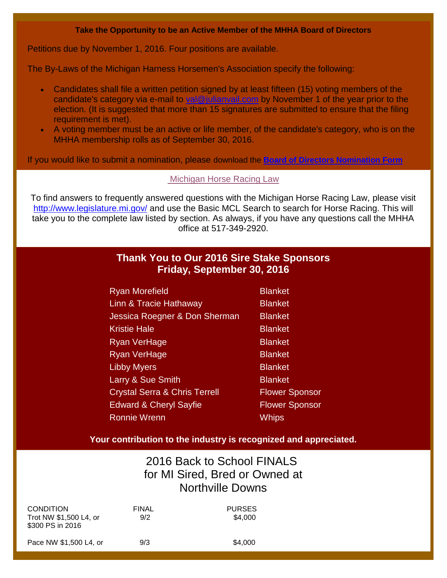#### **Take the Opportunity to be an Active Member of the MHHA Board of Directors**

Petitions due by November 1, 2016. Four positions are available.

The By-Laws of the Michigan Harness Horsemen's Association specify the following:

- Candidates shall file a written petition signed by at least fifteen (15) voting members of the candidate's category via e-mail to [val@julianvail.com](mailto:val@julianvail.com) by November 1 of the year prior to the election. (It is suggested that more than 15 signatures are submitted to ensure that the filing requirement is met).
- A voting member must be an active or life member, of the candidate's category, who is on the MHHA membership rolls as of September 30, 2016.

If you would like to submit a nomination, please download the **[Board of Directors Nomination Form](http://r20.rs6.net/tn.jsp?f=001NocsG3yZrC3KmDAfi_3QT_CIOz8OmxIWOkcurervz2SmF_YiOD3q2hlIJawQImhEJWT62szFy58pKmzFVCkTWuwjhxVcFfBCs4hN4UCchdsJqGPAzFp4QMg0-xNJnbXj_jTzPzktb_mXwiAZXVhJpcrjnb0VOqdlnu5kONy7NK9pcVi6pCXbomHOFxHRqzdSzJorPiRHggZi2LxnWDmxVL7ujqDPXBIsf4-VjxznIVieWyb-EFATtr46YFubcrpl&c=uaS0wQ1aof7x-5bL6H0l9JiJcmRkqFOoI9HY5NxGlUT6OcjwVHtuGQ==&ch=m9Ci1PvVAFIZ_zlBlKthw6BTWNjxOAUhDvE5R8_W54uXt3QGta4jKw==)**

#### [Michigan Horse Racing Law](http://www.legislature.mi.gov/(S(dwbynwlqnmnsg41gmvh4krbb))/mileg.aspx?page=MCLBasicSearch)

To find answers to frequently answered questions with the Michigan Horse Racing Law, please visit <http://www.legislature.mi.gov/> and use the Basic MCL Search to search for Horse Racing. This will take you to the complete law listed by section. As always, if you have any questions call the MHHA office at 517-349-2920.

# **Thank You to Our 2016 Sire Stake Sponsors Friday, September 30, 2016**

| <b>Ryan Morefield</b>                    | <b>Blanket</b>        |
|------------------------------------------|-----------------------|
| Linn & Tracie Hathaway                   | <b>Blanket</b>        |
| Jessica Roegner & Don Sherman            | <b>Blanket</b>        |
| <b>Kristie Hale</b>                      | <b>Blanket</b>        |
| Ryan VerHage                             | <b>Blanket</b>        |
| Ryan VerHage                             | <b>Blanket</b>        |
| <b>Libby Myers</b>                       | <b>Blanket</b>        |
| Larry & Sue Smith                        | <b>Blanket</b>        |
| <b>Crystal Serra &amp; Chris Terrell</b> | <b>Flower Sponsor</b> |
| <b>Edward &amp; Cheryl Sayfie</b>        | <b>Flower Sponsor</b> |
| <b>Ronnie Wrenn</b>                      | Whips                 |

### **Your contribution to the industry is recognized and appreciated.**

# 2016 Back to School FINALS for MI Sired, Bred or Owned at Northville Downs

| <b>CONDITION</b><br>Trot NW \$1,500 L4, or<br>\$300 PS in 2016 | <b>FINAL</b><br>9/2 | <b>PURSES</b><br>\$4,000 |
|----------------------------------------------------------------|---------------------|--------------------------|
| Pace NW \$1,500 L4, or                                         | 9/3                 | \$4,000                  |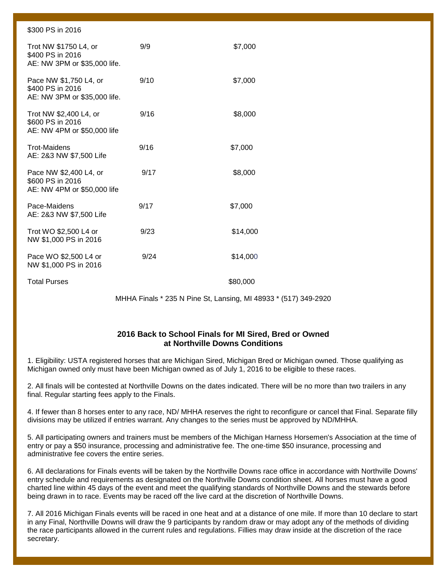| \$300 PS in 2016                                                           |      |          |
|----------------------------------------------------------------------------|------|----------|
| Trot NW \$1750 L4, or<br>\$400 PS in 2016<br>AE: NW 3PM or \$35,000 life.  | 9/9  | \$7,000  |
| Pace NW \$1,750 L4, or<br>\$400 PS in 2016<br>AE: NW 3PM or \$35,000 life. | 9/10 | \$7,000  |
| Trot NW \$2,400 L4, or<br>\$600 PS in 2016<br>AE: NW 4PM or \$50,000 life  | 9/16 | \$8,000  |
| <b>Trot-Maidens</b><br>AE: 2&3 NW \$7,500 Life                             | 9/16 | \$7,000  |
| Pace NW \$2,400 L4, or<br>\$600 PS in 2016<br>AE: NW 4PM or \$50,000 life  | 9/17 | \$8,000  |
| Pace-Maidens<br>AE: 2&3 NW \$7,500 Life                                    | 9/17 | \$7,000  |
| Trot WO \$2,500 L4 or<br>NW \$1,000 PS in 2016                             | 9/23 | \$14,000 |
| Pace WO \$2,500 L4 or<br>NW \$1,000 PS in 2016                             | 9/24 | \$14,000 |
| <b>Total Purses</b>                                                        |      | \$80,000 |

MHHA Finals \* 235 N Pine St, Lansing, MI 48933 \* (517) 349-2920

#### **2016 Back to School Finals for MI Sired, Bred or Owned at Northville Downs Conditions**

1. Eligibility: USTA registered horses that are Michigan Sired, Michigan Bred or Michigan owned. Those qualifying as Michigan owned only must have been Michigan owned as of July 1, 2016 to be eligible to these races.

2. All finals will be contested at Northville Downs on the dates indicated. There will be no more than two trailers in any final. Regular starting fees apply to the Finals.

4. If fewer than 8 horses enter to any race, ND/ MHHA reserves the right to reconfigure or cancel that Final. Separate filly divisions may be utilized if entries warrant. Any changes to the series must be approved by ND/MHHA.

5. All participating owners and trainers must be members of the Michigan Harness Horsemen's Association at the time of entry or pay a \$50 insurance, processing and administrative fee. The one-time \$50 insurance, processing and administrative fee covers the entire series.

6. All declarations for Finals events will be taken by the Northville Downs race office in accordance with Northville Downs' entry schedule and requirements as designated on the Northville Downs condition sheet. All horses must have a good charted line within 45 days of the event and meet the qualifying standards of Northville Downs and the stewards before being drawn in to race. Events may be raced off the live card at the discretion of Northville Downs.

7. All 2016 Michigan Finals events will be raced in one heat and at a distance of one mile. If more than 10 declare to start in any Final, Northville Downs will draw the 9 participants by random draw or may adopt any of the methods of dividing the race participants allowed in the current rules and regulations. Fillies may draw inside at the discretion of the race secretary.